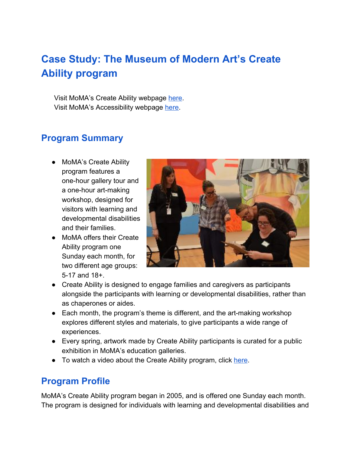# **Case Study: The Museum of Modern Art's Create Ability program**

Visit MoMA's Create Ability webpage [here.](https://www.moma.org/visit/accessibility/developmental) Visit MoMA's Accessibility webpage [here.](https://www.moma.org/visit/accessibility/)

# **Program Summary**

- MoMA's Create Ability program features a one-hour gallery tour and a one-hour art-making workshop, designed for visitors with learning and developmental disabilities and their families.
- MoMA offers their Create Ability program one Sunday each month, for two different age groups: 5-17 and 18+.



- Create Ability is designed to engage families and caregivers as participants alongside the participants with learning or developmental disabilities, rather than as chaperones or aides.
- Each month, the program's theme is different, and the art-making workshop explores different styles and materials, to give participants a wide range of experiences.
- Every spring, artwork made by Create Ability participants is curated for a public exhibition in MoMA's education galleries.
- To watch a video about the Create Ability program, click [here](https://www.youtube.com/watch?v=40bIVe_w6D8).

# **Program Profile**

MoMA's Create Ability program began in 2005, and is offered one Sunday each month. The program is designed for individuals with learning and developmental disabilities and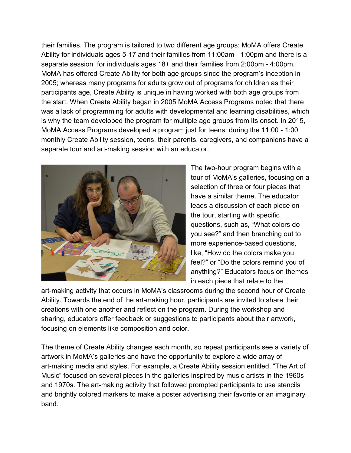their families. The program is tailored to two different age groups: MoMA offers Create Ability for individuals ages 5-17 and their families from 11:00am - 1:00pm and there is a separate session for individuals ages 18+ and their families from 2:00pm - 4:00pm. MoMA has offered Create Ability for both age groups since the program's inception in 2005; whereas many programs for adults grow out of programs for children as their participants age, Create Ability is unique in having worked with both age groups from the start. When Create Ability began in 2005 MoMA Access Programs noted that there was a lack of programming for adults with developmental and learning disabilities, which is why the team developed the program for multiple age groups from its onset. In 2015, MoMA Access Programs developed a program just for teens: during the 11:00 - 1:00 monthly Create Ability session, teens, their parents, caregivers, and companions have a separate tour and art-making session with an educator.



The two-hour program begins with a tour of MoMA's galleries, focusing on a selection of three or four pieces that have a similar theme. The educator leads a discussion of each piece on the tour, starting with specific questions, such as, "What colors do you see?" and then branching out to more experience-based questions, like, "How do the colors make you feel?" or "Do the colors remind you of anything?" Educators focus on themes in each piece that relate to the

art-making activity that occurs in MoMA's classrooms during the second hour of Create Ability. Towards the end of the art-making hour, participants are invited to share their creations with one another and reflect on the program. During the workshop and sharing, educators offer feedback or suggestions to participants about their artwork, focusing on elements like composition and color.

The theme of Create Ability changes each month, so repeat participants see a variety of artwork in MoMA's galleries and have the opportunity to explore a wide array of art-making media and styles. For example, a Create Ability session entitled, "The Art of Music" focused on several pieces in the galleries inspired by music artists in the 1960s and 1970s. The art-making activity that followed prompted participants to use stencils and brightly colored markers to make a poster advertising their favorite or an imaginary band.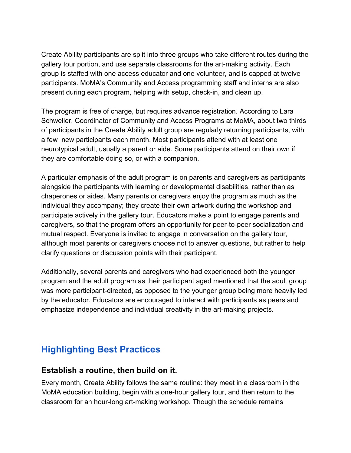Create Ability participants are split into three groups who take different routes during the gallery tour portion, and use separate classrooms for the art-making activity. Each group is staffed with one access educator and one volunteer, and is capped at twelve participants. MoMA's Community and Access programming staff and interns are also present during each program, helping with setup, check-in, and clean up.

The program is free of charge, but requires advance registration. According to Lara Schweller, Coordinator of Community and Access Programs at MoMA, about two thirds of participants in the Create Ability adult group are regularly returning participants, with a few new participants each month. Most participants attend with at least one neurotypical adult, usually a parent or aide. Some participants attend on their own if they are comfortable doing so, or with a companion.

A particular emphasis of the adult program is on parents and caregivers as participants alongside the participants with learning or developmental disabilities, rather than as chaperones or aides. Many parents or caregivers enjoy the program as much as the individual they accompany; they create their own artwork during the workshop and participate actively in the gallery tour. Educators make a point to engage parents and caregivers, so that the program offers an opportunity for peer-to-peer socialization and mutual respect. Everyone is invited to engage in conversation on the gallery tour, although most parents or caregivers choose not to answer questions, but rather to help clarify questions or discussion points with their participant.

Additionally, several parents and caregivers who had experienced both the younger program and the adult program as their participant aged mentioned that the adult group was more participant-directed, as opposed to the younger group being more heavily led by the educator. Educators are encouraged to interact with participants as peers and emphasize independence and individual creativity in the art-making projects.

## **Highlighting Best Practices**

#### **Establish a routine, then build on it.**

Every month, Create Ability follows the same routine: they meet in a classroom in the MoMA education building, begin with a one-hour gallery tour, and then return to the classroom for an hour-long art-making workshop. Though the schedule remains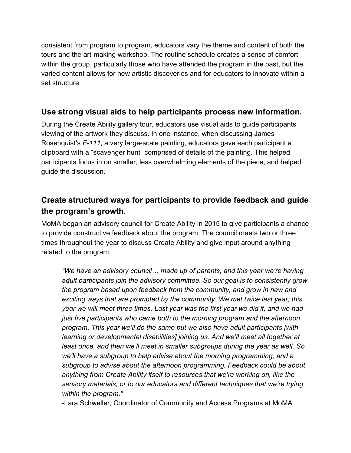consistent from program to program, educators vary the theme and content of both the tours and the art-making workshop. The routine schedule creates a sense of comfort within the group, particularly those who have attended the program in the past, but the varied content allows for new artistic discoveries and for educators to innovate within a set structure.

#### **Use strong visual aids to help participants process new information.**

During the Create Ability gallery tour, educators use visual aids to guide participants' viewing of the artwork they discuss. In one instance, when discussing James Rosenquist's *F-111*, a very large-scale painting, educators gave each participant a clipboard with a "scavenger hunt" comprised of details of the painting. This helped participants focus in on smaller, less overwhelming elements of the piece, and helped guide the discussion.

## **Create structured ways for participants to provide feedback and guide the program's growth.**

MoMA began an advisory council for Create Ability in 2015 to give participants a chance to provide constructive feedback about the program. The council meets two or three times throughout the year to discuss Create Ability and give input around anything related to the program.

*"We have an advisory council… made up of parents, and this year we're having adult participants join the advisory committee. So our goal is to consistently grow the program based upon feedback from the community, and grow in new and exciting ways that are prompted by the community. We met twice last year; this year we will meet three times. Last year was the first year we did it, and we had just five participants who came both to the morning program and the afternoon program. This year we'll do the same but we also have adult participants [with learning or developmental disabilities] joining us. And we'll meet all together at least once, and then we'll meet in smaller subgroups during the year as well. So we'll have a subgroup to help advise about the morning programming, and a subgroup to advise about the afternoon programming. Feedback could be about anything from Create Ability itself to resources that we're working on, like the sensory materials, or to our educators and different techniques that we're trying within the program."*

-Lara Schweller, Coordinator of Community and Access Programs at MoMA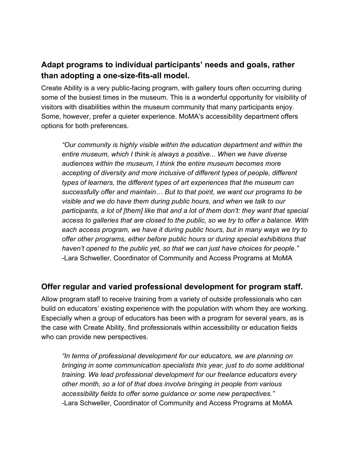#### **Adapt programs to individual participants' needs and goals, rather than adopting a one-size-fits-all model.**

Create Ability is a very public-facing program, with gallery tours often occurring during some of the busiest times in the museum. This is a wonderful opportunity for visibility of visitors with disabilities within the museum community that many participants enjoy. Some, however, prefer a quieter experience. MoMA's accessibility department offers options for both preferences.

*"Our community is highly visible within the education department and within the entire museum, which I think is always a positive... When we have diverse audiences within the museum, I think the entire museum becomes more accepting of diversity and more inclusive of different types of people, different types of learners, the different types of art experiences that the museum can successfully offer and maintain… But to that point, we want our programs to be visible and we do have them during public hours, and when we talk to our participants, a lot of [them] like that and a lot of them don't: they want that special access to galleries that are closed to the public, so we try to offer a balance. With each access program, we have it during public hours, but in many ways we try to offer other programs, either before public hours or during special exhibitions that haven't opened to the public yet, so that we can just have choices for people."* -Lara Schweller, Coordinator of Community and Access Programs at MoMA

#### **Offer regular and varied professional development for program staff.**

Allow program staff to receive training from a variety of outside professionals who can build on educators' existing experience with the population with whom they are working. Especially when a group of educators has been with a program for several years, as is the case with Create Ability, find professionals within accessibility or education fields who can provide new perspectives.

*"In terms of professional development for our educators, we are planning on bringing in some communication specialists this year, just to do some additional training. We lead professional development for our freelance educators every other month, so a lot of that does involve bringing in people from various accessibility fields to offer some guidance or some new perspectives."* -Lara Schweller, Coordinator of Community and Access Programs at MoMA